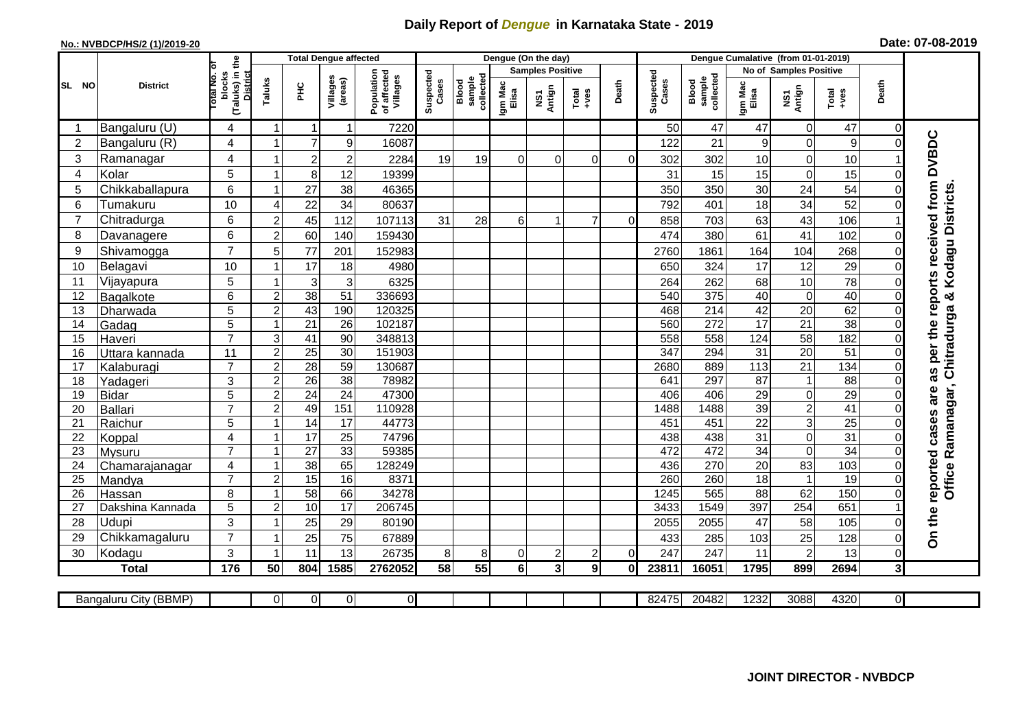## **Daily Report of** *Dengue* **in Karnataka State - 2019**

## **No.: NVBDCP/HS/2 (1)/2019-20 Date: 07-08-2019**

|                |                            |                                                              | <b>Total Dengue affected</b>              |                 |                     |                                       |                    |                              | Dengue (On the day) |                         |                |          |                    |                              |                       |                        |                  |              |                                        |
|----------------|----------------------------|--------------------------------------------------------------|-------------------------------------------|-----------------|---------------------|---------------------------------------|--------------------|------------------------------|---------------------|-------------------------|----------------|----------|--------------------|------------------------------|-----------------------|------------------------|------------------|--------------|----------------------------------------|
|                |                            |                                                              |                                           |                 |                     |                                       |                    |                              |                     | <b>Samples Positive</b> |                |          |                    |                              |                       | No of Samples Positive |                  |              |                                        |
| SL NO          | <b>District</b>            | (Taluks) in the<br>Total No. of<br>blocks<br><b>District</b> | Taluks                                    | Ξ               | Villages<br>(areas) | Population<br>of affected<br>Villages | Suspected<br>Cases | collected<br>sample<br>Blood | Igm Mac<br>Elisa    | NS1<br>Antign           | $Total$        | Death    | Suspected<br>Cases | collected<br>sample<br>Blood | Igm Mac<br>Elisa      | NS1<br>Antign          | Total<br>+ves    | Death        |                                        |
| -1             | Bangaluru (U)              | 4                                                            | -1                                        | $\overline{1}$  | $\mathbf 1$         | 7220                                  |                    |                              |                     |                         |                |          | 50                 | 47                           | 47                    | $\mathbf 0$            | 47               | 0            |                                        |
| $\overline{2}$ | Bangaluru (R)              | 4                                                            | $\overline{1}$                            | $\overline{7}$  | $\boldsymbol{9}$    | 16087                                 |                    |                              |                     |                         |                |          | 122                | 21                           | 9                     | $\mathbf 0$            | $\boldsymbol{9}$ | $\Omega$     | as per the reports received from DVBDC |
| 3              | Ramanagar                  | 4                                                            |                                           | $\overline{c}$  | $\overline{2}$      | 2284                                  | 19                 | 19                           | $\Omega$            | $\Omega$                | $\Omega$       | $\Omega$ | 302                | 302                          | 10                    | $\mathbf 0$            | 10               |              |                                        |
| 4              | Kolar                      | 5                                                            | $\overline{\mathbf{1}}$                   | $\bf{8}$        | 12                  | 19399                                 |                    |                              |                     |                         |                |          | 31                 | 15                           | 15                    | $\mathbf 0$            | 15               | 0            |                                        |
| 5              | Chikkaballapura            | 6                                                            | $\overline{\mathbf{1}}$                   | 27              | 38                  | 46365                                 |                    |                              |                     |                         |                |          | 350                | 350                          | 30                    | 24                     | 54               |              |                                        |
| 6              | Tumakuru                   | 10                                                           | 4                                         | 22              | 34                  | 80637                                 |                    |                              |                     |                         |                |          | 792                | 401                          | 18                    | 34                     | 52               |              |                                        |
| $\overline{7}$ | Chitradurga                | 6                                                            | $\overline{2}$                            | 45              | 112                 | 107113                                | 31                 | 28                           | 6 <sup>1</sup>      | 1                       | 7              | $\Omega$ | 858                | 703                          | 63                    | 43                     | 106              |              |                                        |
| 8              | Davanagere                 | 6                                                            | $\overline{2}$                            | 60              | 140                 | 159430                                |                    |                              |                     |                         |                |          | 474                | 380                          | 61                    | 41                     | 102              | $\Omega$     |                                        |
| 9              | Shivamogga                 | $\overline{7}$                                               | 5                                         | 77              | 201                 | 152983                                |                    |                              |                     |                         |                |          | 2760               | 1861                         | 164                   | 104                    | 268              | 0            | Kodagu Districts                       |
| 10             | Belagavi                   | 10                                                           | $\overline{\mathbf{1}}$                   | 17              | 18                  | 4980                                  |                    |                              |                     |                         |                |          | 650                | 324                          | 17                    | 12                     | 29               | $\Omega$     |                                        |
| 11             | Vijayapura                 | 5                                                            |                                           | 3               | 3                   | 6325                                  |                    |                              |                     |                         |                |          | 264                | 262                          | 68                    | 10                     | 78               | 0            |                                        |
| 12             | Bagalkote                  | 6                                                            | $\overline{2}$                            | 38              | 51                  | 336693                                |                    |                              |                     |                         |                |          | 540                | 375                          | 40                    | $\overline{0}$         | 40               | 0            | ×                                      |
| 13             | Dharwada                   | $\overline{5}$                                               | $\overline{2}$                            | 43              | 190                 | 120325                                |                    |                              |                     |                         |                |          | 468                | $\overline{214}$             | 42                    | 20                     | 62               | $\Omega$     |                                        |
| 14             | Gadag                      | $\overline{5}$                                               | $\overline{\mathbf{1}}$                   | 21              | 26                  | 102187                                |                    |                              |                     |                         |                |          | 560                | $\overline{272}$             | $\overline{17}$       | 21                     | $\overline{38}$  | 0            |                                        |
| 15             | Haveri                     | $\overline{7}$                                               | 3                                         | 41              | 90                  | 348813                                |                    |                              |                     |                         |                |          | 558                | 558                          | 124                   | 58                     | 182              | $\Omega$     |                                        |
| 16             | Uttara kannada             | 11                                                           | $\overline{2}$                            | $\overline{25}$ | 30                  | 151903                                |                    |                              |                     |                         |                |          | 347                | 294                          | $\overline{31}$       | $\overline{20}$        | $\overline{51}$  | $\Omega$     |                                        |
| 17             | Kalaburagi                 | $\overline{7}$                                               | $\overline{c}$                            | 28              | 59                  | 130687                                |                    |                              |                     |                         |                |          | 2680               | 889                          | 113                   | 21                     | 134              | 0            |                                        |
| 18             | Yadageri                   | 3                                                            | 2                                         | 26              | 38                  | 78982                                 |                    |                              |                     |                         |                |          | 641                | 297                          | 87                    | $\mathbf{1}$           | 88               |              |                                        |
| 19             | <b>Bidar</b>               | $\overline{5}$                                               | $\overline{2}$                            | $\overline{24}$ | 24                  | 47300                                 |                    |                              |                     |                         |                |          | 406                | 406                          | 29                    | $\mathbf 0$            | 29               | 0            | are                                    |
| 20             | Ballari                    | $\overline{7}$                                               | $\overline{2}$                            | 49              | 151                 | 110928                                |                    |                              |                     |                         |                |          | 1488               | 1488                         | 39                    | $\overline{2}$         | 41               | $\Omega$     |                                        |
| 21             | Raichur                    | 5                                                            |                                           | $\overline{14}$ | 17                  | 44773                                 |                    |                              |                     |                         |                |          | 451                | 451                          | $\overline{22}$       | $\overline{3}$         | $\overline{25}$  | 0            | cases                                  |
| 22             | Koppal                     | 4                                                            | $\overline{\mathbf{1}}$                   | $\overline{17}$ | $\overline{25}$     | 74796                                 |                    |                              |                     |                         |                |          | 438                | 438                          | 31                    | $\overline{0}$         | 31               | 0            |                                        |
| 23             | Mysuru                     | $\overline{7}$                                               | $\overline{1}$                            | $\overline{27}$ | 33                  | 59385                                 |                    |                              |                     |                         |                |          | 472                | 472                          | 34                    | $\mathbf 0$            | $\overline{34}$  | 0            |                                        |
| 24             | Chamarajanagar             | 4<br>$\overline{7}$                                          |                                           | $\overline{38}$ | 65<br>16            | 128249<br>8371                        |                    |                              |                     |                         |                |          | 436<br>260         | 270<br>260                   | $\overline{20}$<br>18 | 83                     | 103<br>19        | $\Omega$     |                                        |
| 25<br>26       | Mandya                     | 8                                                            | $\overline{2}$<br>$\overline{\mathbf{1}}$ | 15<br>58        | 66                  | 34278                                 |                    |                              |                     |                         |                |          | 1245               | 565                          | 88                    | $\mathbf{1}$<br>62     | 150              | $\Omega$     | Office Ramanagar, Chitradurga          |
| 27             | Hassan<br>Dakshina Kannada | 5                                                            | 2                                         | 10              | 17                  | 206745                                |                    |                              |                     |                         |                |          | 3433               | 1549                         | 397                   | $\overline{254}$       | 651              |              |                                        |
| 28             | Udupi                      | 3                                                            | -1                                        | 25              | 29                  | 80190                                 |                    |                              |                     |                         |                |          | 2055               | 2055                         | 47                    | 58                     | 105              | $\Omega$     |                                        |
| 29             | Chikkamagaluru             | $\overline{7}$                                               | -1                                        | 25              | 75                  | 67889                                 |                    |                              |                     |                         |                |          | 433                | 285                          | 103                   | 25                     | 128              | $\Omega$     | On the reported                        |
| 30             | Kodagu                     | 3                                                            | -1                                        | 11              | 13                  | 26735                                 | 8                  | 8                            | $\Omega$            | $\overline{\mathbf{c}}$ | $\overline{c}$ | $\Omega$ | 247                | 247                          | 11                    | $\overline{2}$         | 13               | 0            |                                        |
|                | <b>Total</b>               | 176                                                          | 50                                        | 804             | 1585                | 2762052                               | 58                 | $\overline{55}$              | 6 <sup>1</sup>      | კ                       | 9              | 0l       | 23811              | 16051                        | 1795                  | 899                    | 2694             | $\mathbf{3}$ |                                        |
|                |                            |                                                              |                                           |                 |                     |                                       |                    |                              |                     |                         |                |          |                    |                              |                       |                        |                  |              |                                        |
|                | Bangaluru City (BBMP)      |                                                              | $\Omega$                                  | ΟI              | $\overline{0}$      | $\overline{0}$                        |                    |                              |                     |                         |                |          | 82475              | 20482                        | 1232                  | 3088                   | 4320             | ΟI           |                                        |